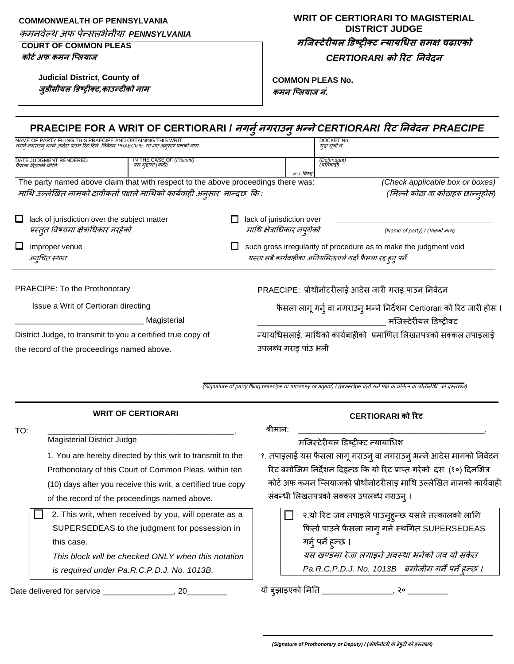#### **COMMONWEALTH OF PENNSYLVANIA**

कमनवेल्थ अफ पेन्सलभेनीया *PENNSYLVANIA*

### **COURT OF COMMON PLEAS**

**Judicial District, County of जुडीसीयि डडष्ट्रीक्र्,काउन्र्ीको नाम**

**कोर्टअफ कमन प्लियाज**

## **WRIT OF CERTIORARI TO MAGISTERIAL DISTRICT JUDGE मप्जस्र्ेरीयि डडष्ट्रीक्र् न्यायधिस समक्ष चढाएको** *CERTIORARI* **को ररर् ननवेदन**

**COMMON PLEAS No.**

**कमन प्लियाज नं.**

| CERTIORARI को रिट                                                          |                                                                                                                                                                                                                                                                                                                                                                                                                                                                                                                                                                                                                                                                                                                                                              |
|----------------------------------------------------------------------------|--------------------------------------------------------------------------------------------------------------------------------------------------------------------------------------------------------------------------------------------------------------------------------------------------------------------------------------------------------------------------------------------------------------------------------------------------------------------------------------------------------------------------------------------------------------------------------------------------------------------------------------------------------------------------------------------------------------------------------------------------------------|
|                                                                            |                                                                                                                                                                                                                                                                                                                                                                                                                                                                                                                                                                                                                                                                                                                                                              |
|                                                                            |                                                                                                                                                                                                                                                                                                                                                                                                                                                                                                                                                                                                                                                                                                                                                              |
|                                                                            |                                                                                                                                                                                                                                                                                                                                                                                                                                                                                                                                                                                                                                                                                                                                                              |
| मजिस्टेरीयल डिष्टीक्ट                                                      |                                                                                                                                                                                                                                                                                                                                                                                                                                                                                                                                                                                                                                                                                                                                                              |
|                                                                            |                                                                                                                                                                                                                                                                                                                                                                                                                                                                                                                                                                                                                                                                                                                                                              |
|                                                                            |                                                                                                                                                                                                                                                                                                                                                                                                                                                                                                                                                                                                                                                                                                                                                              |
|                                                                            |                                                                                                                                                                                                                                                                                                                                                                                                                                                                                                                                                                                                                                                                                                                                                              |
|                                                                            |                                                                                                                                                                                                                                                                                                                                                                                                                                                                                                                                                                                                                                                                                                                                                              |
| (Name of party) / (पक्षको नाम)                                             |                                                                                                                                                                                                                                                                                                                                                                                                                                                                                                                                                                                                                                                                                                                                                              |
|                                                                            |                                                                                                                                                                                                                                                                                                                                                                                                                                                                                                                                                                                                                                                                                                                                                              |
|                                                                            |                                                                                                                                                                                                                                                                                                                                                                                                                                                                                                                                                                                                                                                                                                                                                              |
|                                                                            |                                                                                                                                                                                                                                                                                                                                                                                                                                                                                                                                                                                                                                                                                                                                                              |
| vs./ बिरुद्द                                                               |                                                                                                                                                                                                                                                                                                                                                                                                                                                                                                                                                                                                                                                                                                                                                              |
| मुद्दा सूची नं.                                                            |                                                                                                                                                                                                                                                                                                                                                                                                                                                                                                                                                                                                                                                                                                                                                              |
| DOCKET No.                                                                 |                                                                                                                                                                                                                                                                                                                                                                                                                                                                                                                                                                                                                                                                                                                                                              |
| माथि उल्लेखित नामको दावीकर्ता पक्षले माथिको कार्यवाही अनुसार  मान्दछ  कि : | (Defendant)<br>(प्रतिवादी)<br>The party named above claim that with respect to the above proceedings there was:<br>(Check applicable box or boxes)<br>(मिल्ने कोठा वा कोठाहरु छान्नुहोस)<br>lack of jurisdiction over<br>माथि क्षेत्राधिकार नपुगेको<br>such gross irregularity of procedure as to make the judgment void<br>यस्ता सबै कार्यवाहीका अनियमितताले गर्दा फैसला रद्द हुनु पर्ने<br>PRAECIPE: प्रोथोनोटरीलाई आदेस जारी गराइ पाउन निवेदन<br>फैसला लागू गर्नु वा नगराउनु भन्ने निर्देशन Certiorari को रिट जारी होस ।<br>न्यायधिसलाई, माथिको कार्यबाहीको  प्रमाणित लिखतपत्रको सक्कल तपाइलाई<br>उपलब्ध गराइ पांउ भनी<br>(Signature of party filing praecipe or attorney or agent) / (praecipe दूतो गने पक्ष वा वकिल वा प्रतिनिधि को दस्तखत)<br>श्रीमान: |

Magisterial District Judge

1. You are hereby directed by this writ to transmit to the Prothonotary of this Court of Common Pleas, within ten (10) days after you receive this writ, a certified true copy of the record of the proceedings named above.

 2. This writ, when received by you, will operate as a SUPERSEDEAS to the judgment for possession in this case.

*This block will be checked ONLY when this notation is required under Pa.R.C.P.D.J. No. 1013B.*

Date delivered for service \_\_\_\_\_\_\_\_\_\_\_\_\_\_\_\_, 20\_

मजजस्टेरीयल डिष्ट्रीक्ट न्यायाथिश

- १. तपाइलाई यस फैसला लागू गराउन् वा नगराउन् भन्ने आदेस मागको निवेदन रिट बमोजिम निर्देशन दिइन्छ कि यो रिट प्राप्त गरेको दस (१०) दिनभित्र कोर्ट अफ कमन प्लियाजको प्रोथोनोटरीलाइ माथि उल्लेखित नामको कार्यवाही संबन्धी लिखतपत्रको सक्कल उपलब्ध गराउनु ।
	- २.यो रिट जव तपाइले पाउनुहुन्छ यसले तत्कालको लागि फिर्ता पाउने फैसला लागु गर्न स्थगित SUPERSEDEAS गर्नु पर्ने हन्छ । यस खण्डमा रेजा लगाइने अवस्था भनेको जव यो संकेत *Pa.R.C.P.D.J. No. 1013B* िमोजीम गनैपनेहनन्छ ।

यो बुझाइएको मिति \_\_\_\_\_\_\_\_\_\_\_\_\_\_\_\_\_, २० \_\_\_\_\_\_\_\_\_\_\_